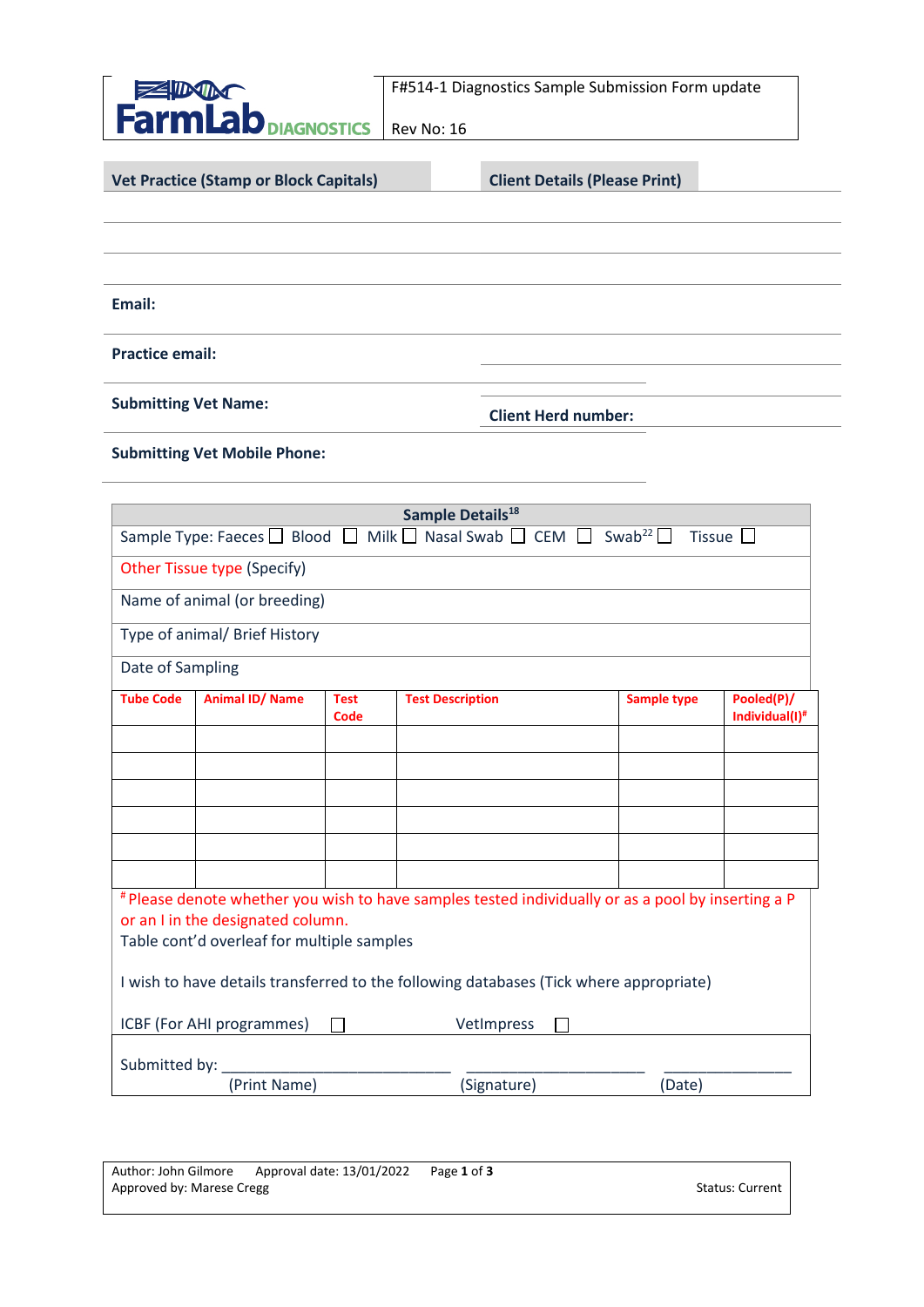

F#514-1 Diagnostics Sample Submission Form update

Rev No: 16

**Vet Practice (Stamp or Block Capitals)**

**Client Details (Please Print)**

**Email:** 

**Practice email:**

**Submitting Vet Name:**

**Client Herd number:**

**Submitting Vet Mobile Phone:**

| Sample Details <sup>18</sup>                                                                                                                                                          |                        |                     |                         |                    |                              |  |  |  |  |
|---------------------------------------------------------------------------------------------------------------------------------------------------------------------------------------|------------------------|---------------------|-------------------------|--------------------|------------------------------|--|--|--|--|
| Sample Type: Faeces $\Box$ Blood $\Box$ Milk $\Box$ Nasal Swab $\Box$ CEM $\Box$ Swab <sup>22</sup> $\Box$<br>Tissue                                                                  |                        |                     |                         |                    |                              |  |  |  |  |
| Other Tissue type (Specify)                                                                                                                                                           |                        |                     |                         |                    |                              |  |  |  |  |
| Name of animal (or breeding)                                                                                                                                                          |                        |                     |                         |                    |                              |  |  |  |  |
| Type of animal/ Brief History                                                                                                                                                         |                        |                     |                         |                    |                              |  |  |  |  |
| Date of Sampling                                                                                                                                                                      |                        |                     |                         |                    |                              |  |  |  |  |
| <b>Tube Code</b>                                                                                                                                                                      | <b>Animal ID/ Name</b> | <b>Test</b><br>Code | <b>Test Description</b> | <b>Sample type</b> | Pooled(P)/<br>Individual(I)# |  |  |  |  |
|                                                                                                                                                                                       |                        |                     |                         |                    |                              |  |  |  |  |
|                                                                                                                                                                                       |                        |                     |                         |                    |                              |  |  |  |  |
|                                                                                                                                                                                       |                        |                     |                         |                    |                              |  |  |  |  |
|                                                                                                                                                                                       |                        |                     |                         |                    |                              |  |  |  |  |
|                                                                                                                                                                                       |                        |                     |                         |                    |                              |  |  |  |  |
| # Please denote whether you wish to have samples tested individually or as a pool by inserting a P<br>or an I in the designated column.<br>Table cont'd overleaf for multiple samples |                        |                     |                         |                    |                              |  |  |  |  |
| I wish to have details transferred to the following databases (Tick where appropriate)                                                                                                |                        |                     |                         |                    |                              |  |  |  |  |
| VetImpress<br>ICBF (For AHI programmes)                                                                                                                                               |                        |                     |                         |                    |                              |  |  |  |  |
| Submitted by:                                                                                                                                                                         |                        |                     |                         |                    |                              |  |  |  |  |
|                                                                                                                                                                                       | (Print Name)           |                     | (Signature)             | (Date)             |                              |  |  |  |  |

| Author: John Gilmore Approval date: 13/01/2022 | Page 1 of 3 |                 |
|------------------------------------------------|-------------|-----------------|
| Approved by: Marese Cregg                      |             | Status: Current |
|                                                |             |                 |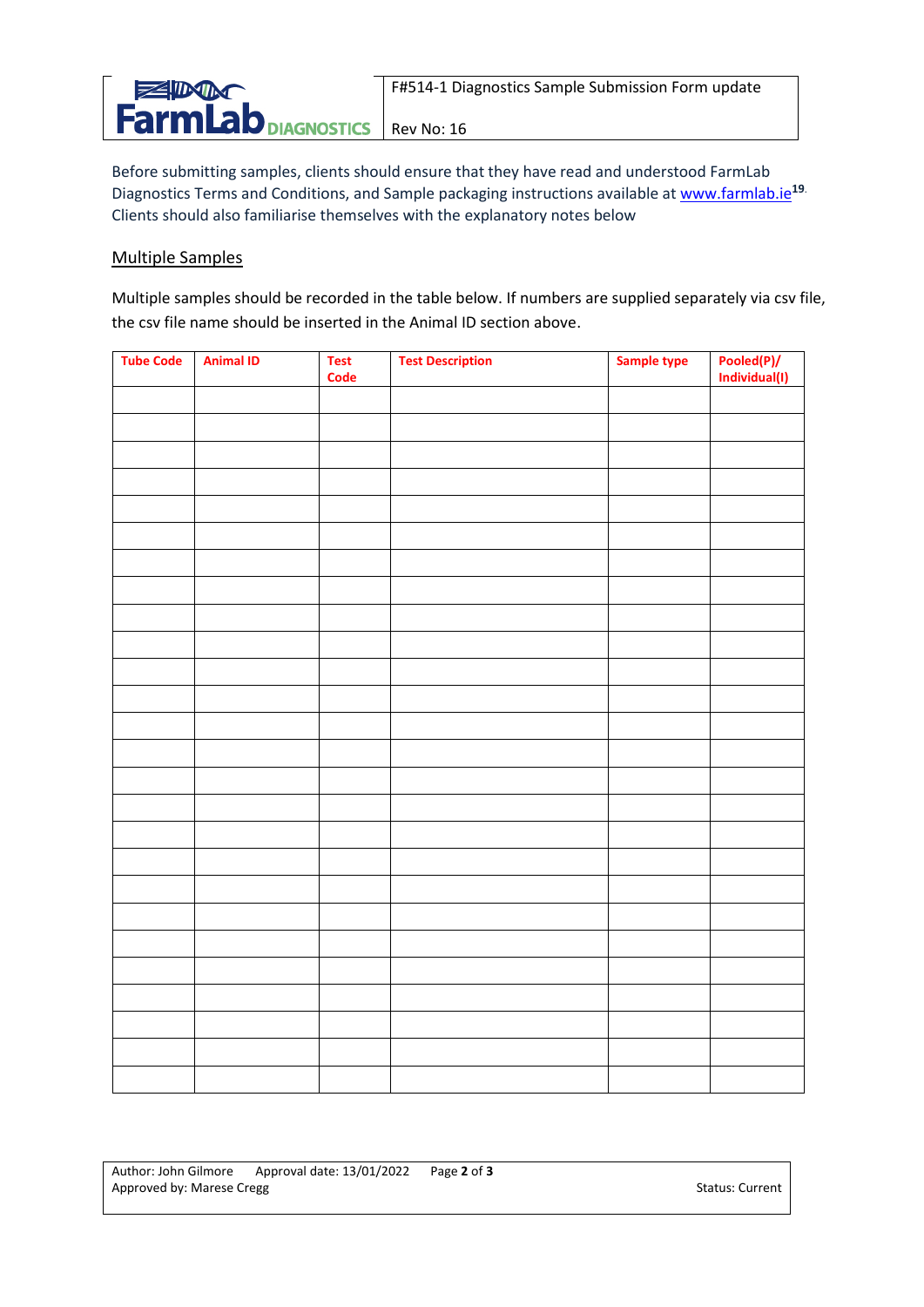

Rev No: 16

Before submitting samples, clients should ensure that they have read and understood FarmLab Diagnostics Terms and Conditions, and Sample packaging instructions available at [www.farmlab.ie](http://www.farmlab.ie/)**19**. Clients should also familiarise themselves with the explanatory notes below

## Multiple Samples

Multiple samples should be recorded in the table below. If numbers are supplied separately via csv file, the csv file name should be inserted in the Animal ID section above.

| <b>Tube Code</b> | <b>Animal ID</b> | <b>Test</b><br><b>Code</b> | <b>Test Description</b> | Sample type | Pooled(P)/<br>Individual(I) |
|------------------|------------------|----------------------------|-------------------------|-------------|-----------------------------|
|                  |                  |                            |                         |             |                             |
|                  |                  |                            |                         |             |                             |
|                  |                  |                            |                         |             |                             |
|                  |                  |                            |                         |             |                             |
|                  |                  |                            |                         |             |                             |
|                  |                  |                            |                         |             |                             |
|                  |                  |                            |                         |             |                             |
|                  |                  |                            |                         |             |                             |
|                  |                  |                            |                         |             |                             |
|                  |                  |                            |                         |             |                             |
|                  |                  |                            |                         |             |                             |
|                  |                  |                            |                         |             |                             |
|                  |                  |                            |                         |             |                             |
|                  |                  |                            |                         |             |                             |
|                  |                  |                            |                         |             |                             |
|                  |                  |                            |                         |             |                             |
|                  |                  |                            |                         |             |                             |
|                  |                  |                            |                         |             |                             |
|                  |                  |                            |                         |             |                             |
|                  |                  |                            |                         |             |                             |
|                  |                  |                            |                         |             |                             |
|                  |                  |                            |                         |             |                             |
|                  |                  |                            |                         |             |                             |
|                  |                  |                            |                         |             |                             |
|                  |                  |                            |                         |             |                             |
|                  |                  |                            |                         |             |                             |